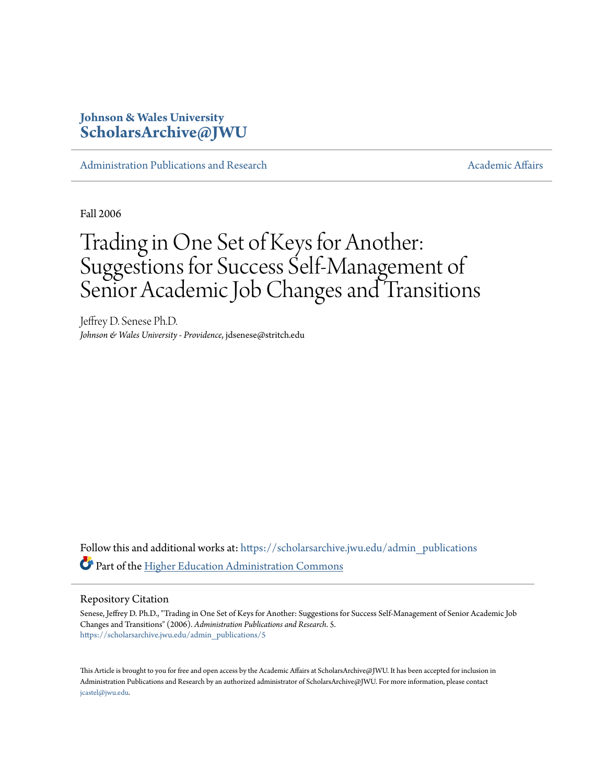## **Johnson & Wales University [ScholarsArchive@JWU](https://scholarsarchive.jwu.edu?utm_source=scholarsarchive.jwu.edu%2Fadmin_publications%2F5&utm_medium=PDF&utm_campaign=PDFCoverPages)**

[Administration Publications and Research](https://scholarsarchive.jwu.edu/admin_publications?utm_source=scholarsarchive.jwu.edu%2Fadmin_publications%2F5&utm_medium=PDF&utm_campaign=PDFCoverPages) [Academic Affairs](https://scholarsarchive.jwu.edu/ac_affairs?utm_source=scholarsarchive.jwu.edu%2Fadmin_publications%2F5&utm_medium=PDF&utm_campaign=PDFCoverPages) Academic Affairs

Fall 2006

# Trading in One Set of Keys for Another: Suggestions for Success Self-Management of Senior Academic Job Changes and Transitions

Jeffrey D. Senese Ph.D. *Johnson & Wales University - Providence*, jdsenese@stritch.edu

Follow this and additional works at: [https://scholarsarchive.jwu.edu/admin\\_publications](https://scholarsarchive.jwu.edu/admin_publications?utm_source=scholarsarchive.jwu.edu%2Fadmin_publications%2F5&utm_medium=PDF&utm_campaign=PDFCoverPages) Part of the [Higher Education Administration Commons](http://network.bepress.com/hgg/discipline/791?utm_source=scholarsarchive.jwu.edu%2Fadmin_publications%2F5&utm_medium=PDF&utm_campaign=PDFCoverPages)

#### Repository Citation

Senese, Jeffrey D. Ph.D., "Trading in One Set of Keys for Another: Suggestions for Success Self-Management of Senior Academic Job Changes and Transitions" (2006). *Administration Publications and Research*. 5. [https://scholarsarchive.jwu.edu/admin\\_publications/5](https://scholarsarchive.jwu.edu/admin_publications/5?utm_source=scholarsarchive.jwu.edu%2Fadmin_publications%2F5&utm_medium=PDF&utm_campaign=PDFCoverPages)

This Article is brought to you for free and open access by the Academic Affairs at ScholarsArchive@JWU. It has been accepted for inclusion in Administration Publications and Research by an authorized administrator of ScholarsArchive@JWU. For more information, please contact [jcastel@jwu.edu.](mailto:jcastel@jwu.edu)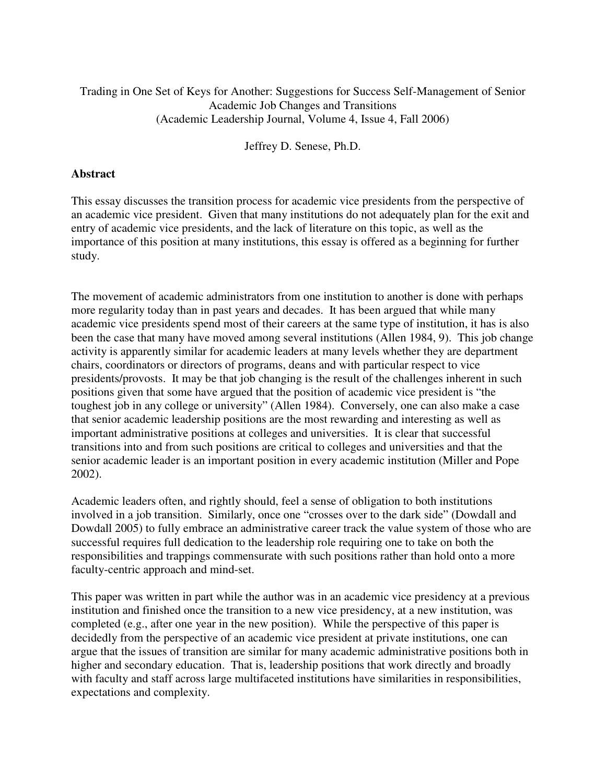### Trading in One Set of Keys for Another: Suggestions for Success Self-Management of Senior Academic Job Changes and Transitions (Academic Leadership Journal, Volume 4, Issue 4, Fall 2006)

Jeffrey D. Senese, Ph.D.

#### **Abstract**

This essay discusses the transition process for academic vice presidents from the perspective of an academic vice president. Given that many institutions do not adequately plan for the exit and entry of academic vice presidents, and the lack of literature on this topic, as well as the importance of this position at many institutions, this essay is offered as a beginning for further study.

The movement of academic administrators from one institution to another is done with perhaps more regularity today than in past years and decades. It has been argued that while many academic vice presidents spend most of their careers at the same type of institution, it has is also been the case that many have moved among several institutions (Allen 1984, 9). This job change activity is apparently similar for academic leaders at many levels whether they are department chairs, coordinators or directors of programs, deans and with particular respect to vice presidents/provosts. It may be that job changing is the result of the challenges inherent in such positions given that some have argued that the position of academic vice president is "the toughest job in any college or university" (Allen 1984). Conversely, one can also make a case that senior academic leadership positions are the most rewarding and interesting as well as important administrative positions at colleges and universities. It is clear that successful transitions into and from such positions are critical to colleges and universities and that the senior academic leader is an important position in every academic institution (Miller and Pope 2002).

Academic leaders often, and rightly should, feel a sense of obligation to both institutions involved in a job transition. Similarly, once one "crosses over to the dark side" (Dowdall and Dowdall 2005) to fully embrace an administrative career track the value system of those who are successful requires full dedication to the leadership role requiring one to take on both the responsibilities and trappings commensurate with such positions rather than hold onto a more faculty-centric approach and mind-set.

This paper was written in part while the author was in an academic vice presidency at a previous institution and finished once the transition to a new vice presidency, at a new institution, was completed (e.g., after one year in the new position). While the perspective of this paper is decidedly from the perspective of an academic vice president at private institutions, one can argue that the issues of transition are similar for many academic administrative positions both in higher and secondary education. That is, leadership positions that work directly and broadly with faculty and staff across large multifaceted institutions have similarities in responsibilities, expectations and complexity.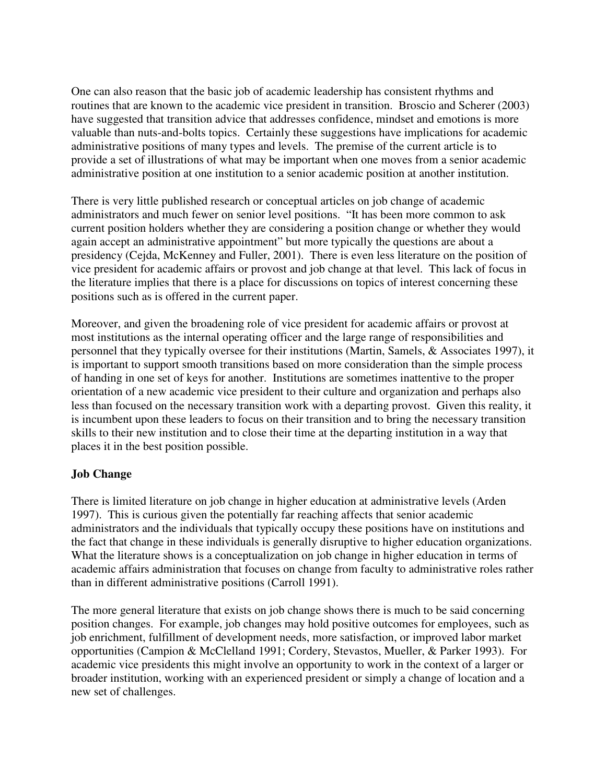One can also reason that the basic job of academic leadership has consistent rhythms and routines that are known to the academic vice president in transition. Broscio and Scherer (2003) have suggested that transition advice that addresses confidence, mindset and emotions is more valuable than nuts-and-bolts topics. Certainly these suggestions have implications for academic administrative positions of many types and levels. The premise of the current article is to provide a set of illustrations of what may be important when one moves from a senior academic administrative position at one institution to a senior academic position at another institution.

There is very little published research or conceptual articles on job change of academic administrators and much fewer on senior level positions. "It has been more common to ask current position holders whether they are considering a position change or whether they would again accept an administrative appointment" but more typically the questions are about a presidency (Cejda, McKenney and Fuller, 2001). There is even less literature on the position of vice president for academic affairs or provost and job change at that level. This lack of focus in the literature implies that there is a place for discussions on topics of interest concerning these positions such as is offered in the current paper.

Moreover, and given the broadening role of vice president for academic affairs or provost at most institutions as the internal operating officer and the large range of responsibilities and personnel that they typically oversee for their institutions (Martin, Samels, & Associates 1997), it is important to support smooth transitions based on more consideration than the simple process of handing in one set of keys for another. Institutions are sometimes inattentive to the proper orientation of a new academic vice president to their culture and organization and perhaps also less than focused on the necessary transition work with a departing provost. Given this reality, it is incumbent upon these leaders to focus on their transition and to bring the necessary transition skills to their new institution and to close their time at the departing institution in a way that places it in the best position possible.

### **Job Change**

There is limited literature on job change in higher education at administrative levels (Arden 1997). This is curious given the potentially far reaching affects that senior academic administrators and the individuals that typically occupy these positions have on institutions and the fact that change in these individuals is generally disruptive to higher education organizations. What the literature shows is a conceptualization on job change in higher education in terms of academic affairs administration that focuses on change from faculty to administrative roles rather than in different administrative positions (Carroll 1991).

The more general literature that exists on job change shows there is much to be said concerning position changes. For example, job changes may hold positive outcomes for employees, such as job enrichment, fulfillment of development needs, more satisfaction, or improved labor market opportunities (Campion & McClelland 1991; Cordery, Stevastos, Mueller, & Parker 1993). For academic vice presidents this might involve an opportunity to work in the context of a larger or broader institution, working with an experienced president or simply a change of location and a new set of challenges.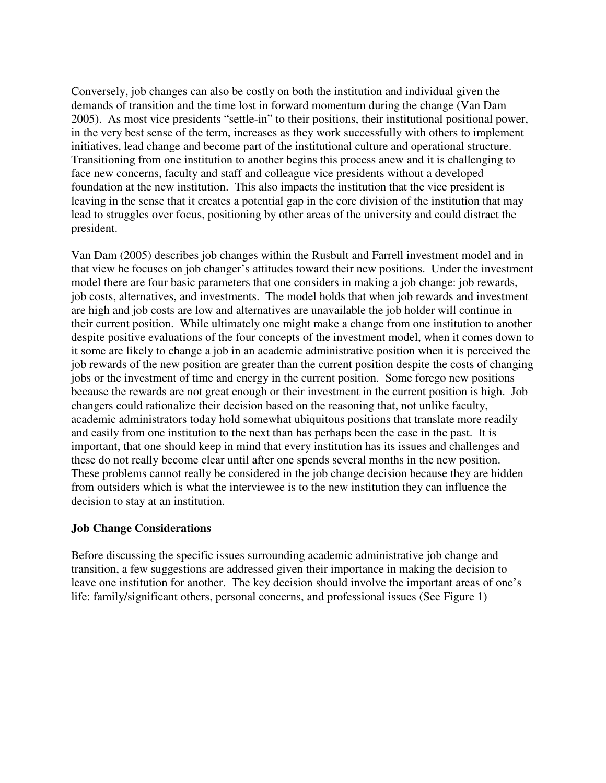Conversely, job changes can also be costly on both the institution and individual given the demands of transition and the time lost in forward momentum during the change (Van Dam 2005). As most vice presidents "settle-in" to their positions, their institutional positional power, in the very best sense of the term, increases as they work successfully with others to implement initiatives, lead change and become part of the institutional culture and operational structure. Transitioning from one institution to another begins this process anew and it is challenging to face new concerns, faculty and staff and colleague vice presidents without a developed foundation at the new institution. This also impacts the institution that the vice president is leaving in the sense that it creates a potential gap in the core division of the institution that may lead to struggles over focus, positioning by other areas of the university and could distract the president.

Van Dam (2005) describes job changes within the Rusbult and Farrell investment model and in that view he focuses on job changer's attitudes toward their new positions. Under the investment model there are four basic parameters that one considers in making a job change: job rewards, job costs, alternatives, and investments. The model holds that when job rewards and investment are high and job costs are low and alternatives are unavailable the job holder will continue in their current position. While ultimately one might make a change from one institution to another despite positive evaluations of the four concepts of the investment model, when it comes down to it some are likely to change a job in an academic administrative position when it is perceived the job rewards of the new position are greater than the current position despite the costs of changing jobs or the investment of time and energy in the current position. Some forego new positions because the rewards are not great enough or their investment in the current position is high. Job changers could rationalize their decision based on the reasoning that, not unlike faculty, academic administrators today hold somewhat ubiquitous positions that translate more readily and easily from one institution to the next than has perhaps been the case in the past. It is important, that one should keep in mind that every institution has its issues and challenges and these do not really become clear until after one spends several months in the new position. These problems cannot really be considered in the job change decision because they are hidden from outsiders which is what the interviewee is to the new institution they can influence the decision to stay at an institution.

#### **Job Change Considerations**

Before discussing the specific issues surrounding academic administrative job change and transition, a few suggestions are addressed given their importance in making the decision to leave one institution for another. The key decision should involve the important areas of one's life: family/significant others, personal concerns, and professional issues (See Figure 1)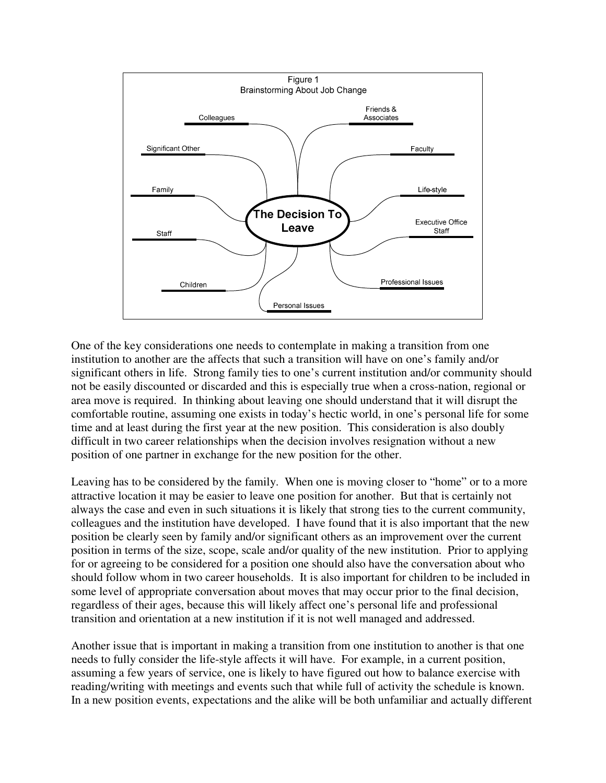

One of the key considerations one needs to contemplate in making a transition from one institution to another are the affects that such a transition will have on one's family and/or significant others in life. Strong family ties to one's current institution and/or community should not be easily discounted or discarded and this is especially true when a cross-nation, regional or area move is required. In thinking about leaving one should understand that it will disrupt the comfortable routine, assuming one exists in today's hectic world, in one's personal life for some time and at least during the first year at the new position. This consideration is also doubly difficult in two career relationships when the decision involves resignation without a new position of one partner in exchange for the new position for the other.

Leaving has to be considered by the family. When one is moving closer to "home" or to a more attractive location it may be easier to leave one position for another. But that is certainly not always the case and even in such situations it is likely that strong ties to the current community, colleagues and the institution have developed. I have found that it is also important that the new position be clearly seen by family and/or significant others as an improvement over the current position in terms of the size, scope, scale and/or quality of the new institution. Prior to applying for or agreeing to be considered for a position one should also have the conversation about who should follow whom in two career households. It is also important for children to be included in some level of appropriate conversation about moves that may occur prior to the final decision, regardless of their ages, because this will likely affect one's personal life and professional transition and orientation at a new institution if it is not well managed and addressed.

Another issue that is important in making a transition from one institution to another is that one needs to fully consider the life-style affects it will have. For example, in a current position, assuming a few years of service, one is likely to have figured out how to balance exercise with reading/writing with meetings and events such that while full of activity the schedule is known. In a new position events, expectations and the alike will be both unfamiliar and actually different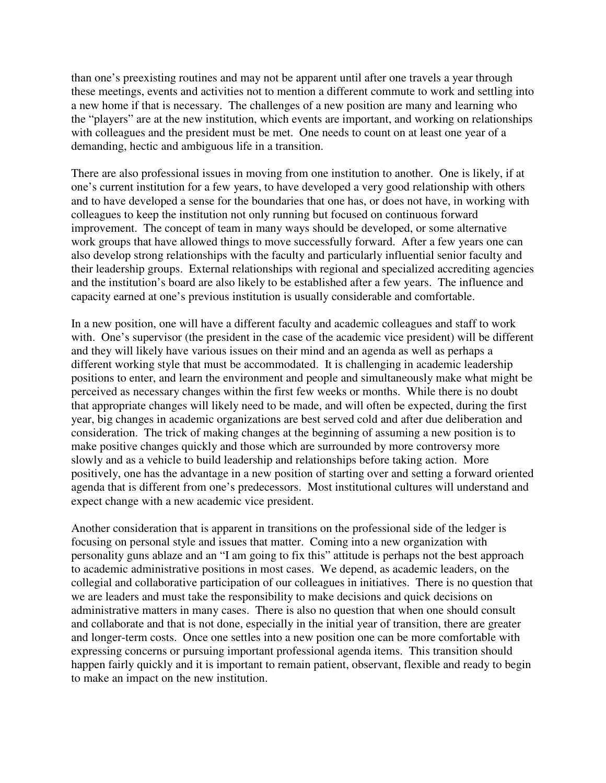than one's preexisting routines and may not be apparent until after one travels a year through these meetings, events and activities not to mention a different commute to work and settling into a new home if that is necessary. The challenges of a new position are many and learning who the "players" are at the new institution, which events are important, and working on relationships with colleagues and the president must be met. One needs to count on at least one year of a demanding, hectic and ambiguous life in a transition.

There are also professional issues in moving from one institution to another. One is likely, if at one's current institution for a few years, to have developed a very good relationship with others and to have developed a sense for the boundaries that one has, or does not have, in working with colleagues to keep the institution not only running but focused on continuous forward improvement. The concept of team in many ways should be developed, or some alternative work groups that have allowed things to move successfully forward. After a few years one can also develop strong relationships with the faculty and particularly influential senior faculty and their leadership groups. External relationships with regional and specialized accrediting agencies and the institution's board are also likely to be established after a few years. The influence and capacity earned at one's previous institution is usually considerable and comfortable.

In a new position, one will have a different faculty and academic colleagues and staff to work with. One's supervisor (the president in the case of the academic vice president) will be different and they will likely have various issues on their mind and an agenda as well as perhaps a different working style that must be accommodated. It is challenging in academic leadership positions to enter, and learn the environment and people and simultaneously make what might be perceived as necessary changes within the first few weeks or months. While there is no doubt that appropriate changes will likely need to be made, and will often be expected, during the first year, big changes in academic organizations are best served cold and after due deliberation and consideration. The trick of making changes at the beginning of assuming a new position is to make positive changes quickly and those which are surrounded by more controversy more slowly and as a vehicle to build leadership and relationships before taking action. More positively, one has the advantage in a new position of starting over and setting a forward oriented agenda that is different from one's predecessors. Most institutional cultures will understand and expect change with a new academic vice president.

Another consideration that is apparent in transitions on the professional side of the ledger is focusing on personal style and issues that matter. Coming into a new organization with personality guns ablaze and an "I am going to fix this" attitude is perhaps not the best approach to academic administrative positions in most cases. We depend, as academic leaders, on the collegial and collaborative participation of our colleagues in initiatives. There is no question that we are leaders and must take the responsibility to make decisions and quick decisions on administrative matters in many cases. There is also no question that when one should consult and collaborate and that is not done, especially in the initial year of transition, there are greater and longer-term costs. Once one settles into a new position one can be more comfortable with expressing concerns or pursuing important professional agenda items. This transition should happen fairly quickly and it is important to remain patient, observant, flexible and ready to begin to make an impact on the new institution.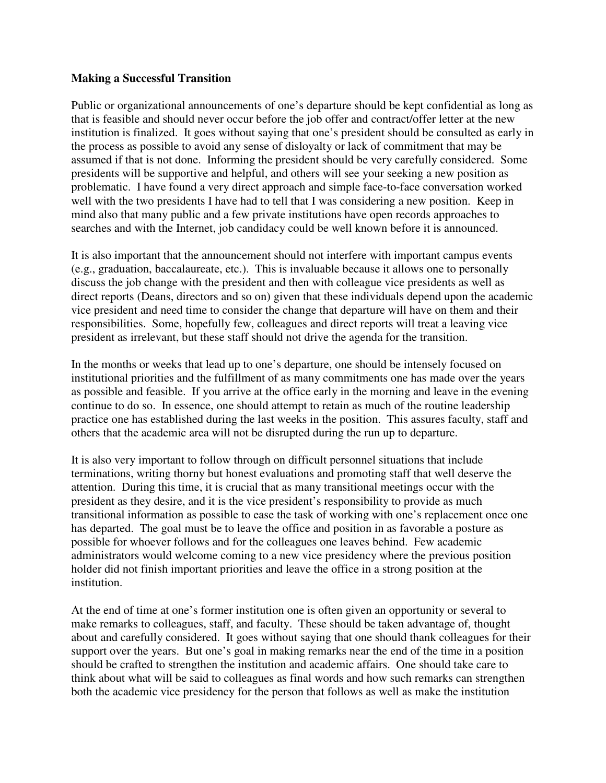#### **Making a Successful Transition**

Public or organizational announcements of one's departure should be kept confidential as long as that is feasible and should never occur before the job offer and contract/offer letter at the new institution is finalized. It goes without saying that one's president should be consulted as early in the process as possible to avoid any sense of disloyalty or lack of commitment that may be assumed if that is not done. Informing the president should be very carefully considered. Some presidents will be supportive and helpful, and others will see your seeking a new position as problematic. I have found a very direct approach and simple face-to-face conversation worked well with the two presidents I have had to tell that I was considering a new position. Keep in mind also that many public and a few private institutions have open records approaches to searches and with the Internet, job candidacy could be well known before it is announced.

It is also important that the announcement should not interfere with important campus events (e.g., graduation, baccalaureate, etc.). This is invaluable because it allows one to personally discuss the job change with the president and then with colleague vice presidents as well as direct reports (Deans, directors and so on) given that these individuals depend upon the academic vice president and need time to consider the change that departure will have on them and their responsibilities. Some, hopefully few, colleagues and direct reports will treat a leaving vice president as irrelevant, but these staff should not drive the agenda for the transition.

In the months or weeks that lead up to one's departure, one should be intensely focused on institutional priorities and the fulfillment of as many commitments one has made over the years as possible and feasible. If you arrive at the office early in the morning and leave in the evening continue to do so. In essence, one should attempt to retain as much of the routine leadership practice one has established during the last weeks in the position. This assures faculty, staff and others that the academic area will not be disrupted during the run up to departure.

It is also very important to follow through on difficult personnel situations that include terminations, writing thorny but honest evaluations and promoting staff that well deserve the attention. During this time, it is crucial that as many transitional meetings occur with the president as they desire, and it is the vice president's responsibility to provide as much transitional information as possible to ease the task of working with one's replacement once one has departed. The goal must be to leave the office and position in as favorable a posture as possible for whoever follows and for the colleagues one leaves behind. Few academic administrators would welcome coming to a new vice presidency where the previous position holder did not finish important priorities and leave the office in a strong position at the institution.

At the end of time at one's former institution one is often given an opportunity or several to make remarks to colleagues, staff, and faculty. These should be taken advantage of, thought about and carefully considered. It goes without saying that one should thank colleagues for their support over the years. But one's goal in making remarks near the end of the time in a position should be crafted to strengthen the institution and academic affairs. One should take care to think about what will be said to colleagues as final words and how such remarks can strengthen both the academic vice presidency for the person that follows as well as make the institution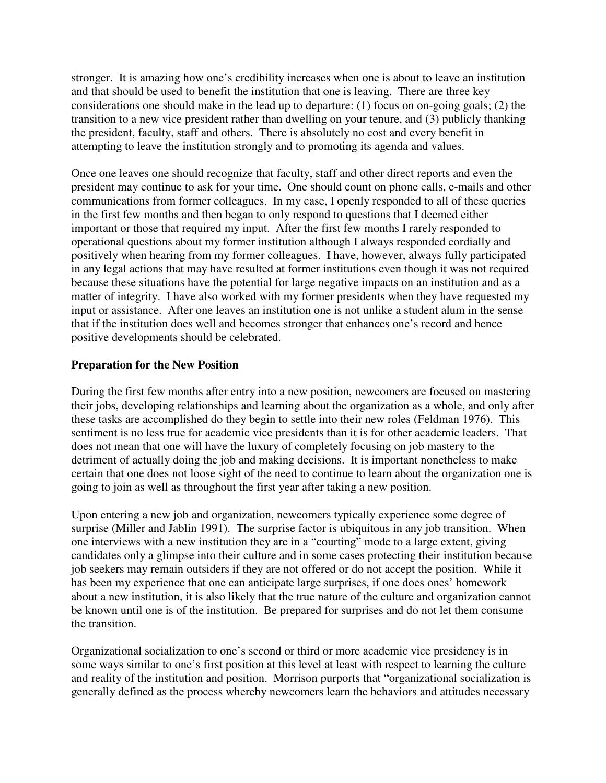stronger. It is amazing how one's credibility increases when one is about to leave an institution and that should be used to benefit the institution that one is leaving. There are three key considerations one should make in the lead up to departure: (1) focus on on-going goals; (2) the transition to a new vice president rather than dwelling on your tenure, and (3) publicly thanking the president, faculty, staff and others. There is absolutely no cost and every benefit in attempting to leave the institution strongly and to promoting its agenda and values.

Once one leaves one should recognize that faculty, staff and other direct reports and even the president may continue to ask for your time. One should count on phone calls, e-mails and other communications from former colleagues. In my case, I openly responded to all of these queries in the first few months and then began to only respond to questions that I deemed either important or those that required my input. After the first few months I rarely responded to operational questions about my former institution although I always responded cordially and positively when hearing from my former colleagues. I have, however, always fully participated in any legal actions that may have resulted at former institutions even though it was not required because these situations have the potential for large negative impacts on an institution and as a matter of integrity. I have also worked with my former presidents when they have requested my input or assistance. After one leaves an institution one is not unlike a student alum in the sense that if the institution does well and becomes stronger that enhances one's record and hence positive developments should be celebrated.

#### **Preparation for the New Position**

During the first few months after entry into a new position, newcomers are focused on mastering their jobs, developing relationships and learning about the organization as a whole, and only after these tasks are accomplished do they begin to settle into their new roles (Feldman 1976). This sentiment is no less true for academic vice presidents than it is for other academic leaders. That does not mean that one will have the luxury of completely focusing on job mastery to the detriment of actually doing the job and making decisions. It is important nonetheless to make certain that one does not loose sight of the need to continue to learn about the organization one is going to join as well as throughout the first year after taking a new position.

Upon entering a new job and organization, newcomers typically experience some degree of surprise (Miller and Jablin 1991). The surprise factor is ubiquitous in any job transition. When one interviews with a new institution they are in a "courting" mode to a large extent, giving candidates only a glimpse into their culture and in some cases protecting their institution because job seekers may remain outsiders if they are not offered or do not accept the position. While it has been my experience that one can anticipate large surprises, if one does ones' homework about a new institution, it is also likely that the true nature of the culture and organization cannot be known until one is of the institution. Be prepared for surprises and do not let them consume the transition.

Organizational socialization to one's second or third or more academic vice presidency is in some ways similar to one's first position at this level at least with respect to learning the culture and reality of the institution and position. Morrison purports that "organizational socialization is generally defined as the process whereby newcomers learn the behaviors and attitudes necessary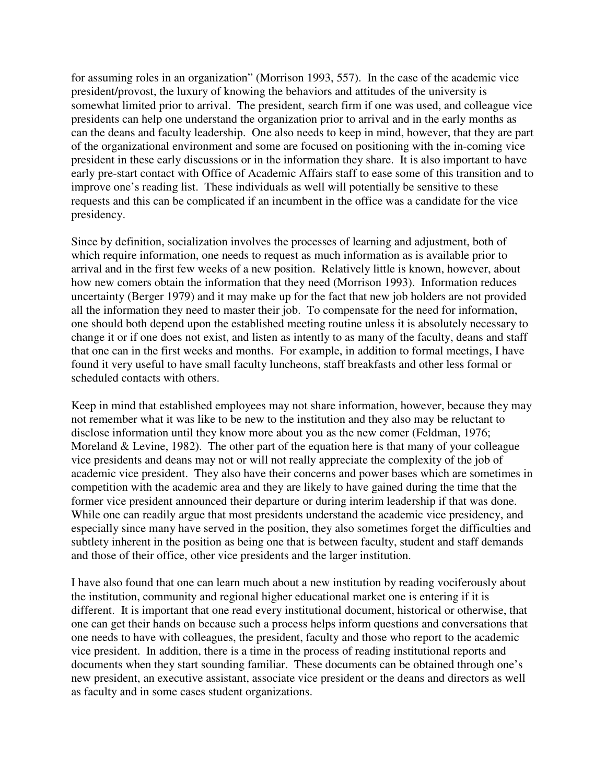for assuming roles in an organization" (Morrison 1993, 557). In the case of the academic vice president/provost, the luxury of knowing the behaviors and attitudes of the university is somewhat limited prior to arrival. The president, search firm if one was used, and colleague vice presidents can help one understand the organization prior to arrival and in the early months as can the deans and faculty leadership. One also needs to keep in mind, however, that they are part of the organizational environment and some are focused on positioning with the in-coming vice president in these early discussions or in the information they share. It is also important to have early pre-start contact with Office of Academic Affairs staff to ease some of this transition and to improve one's reading list. These individuals as well will potentially be sensitive to these requests and this can be complicated if an incumbent in the office was a candidate for the vice presidency.

Since by definition, socialization involves the processes of learning and adjustment, both of which require information, one needs to request as much information as is available prior to arrival and in the first few weeks of a new position. Relatively little is known, however, about how new comers obtain the information that they need (Morrison 1993). Information reduces uncertainty (Berger 1979) and it may make up for the fact that new job holders are not provided all the information they need to master their job. To compensate for the need for information, one should both depend upon the established meeting routine unless it is absolutely necessary to change it or if one does not exist, and listen as intently to as many of the faculty, deans and staff that one can in the first weeks and months. For example, in addition to formal meetings, I have found it very useful to have small faculty luncheons, staff breakfasts and other less formal or scheduled contacts with others.

Keep in mind that established employees may not share information, however, because they may not remember what it was like to be new to the institution and they also may be reluctant to disclose information until they know more about you as the new comer (Feldman, 1976; Moreland & Levine, 1982). The other part of the equation here is that many of your colleague vice presidents and deans may not or will not really appreciate the complexity of the job of academic vice president. They also have their concerns and power bases which are sometimes in competition with the academic area and they are likely to have gained during the time that the former vice president announced their departure or during interim leadership if that was done. While one can readily argue that most presidents understand the academic vice presidency, and especially since many have served in the position, they also sometimes forget the difficulties and subtlety inherent in the position as being one that is between faculty, student and staff demands and those of their office, other vice presidents and the larger institution.

I have also found that one can learn much about a new institution by reading vociferously about the institution, community and regional higher educational market one is entering if it is different. It is important that one read every institutional document, historical or otherwise, that one can get their hands on because such a process helps inform questions and conversations that one needs to have with colleagues, the president, faculty and those who report to the academic vice president. In addition, there is a time in the process of reading institutional reports and documents when they start sounding familiar. These documents can be obtained through one's new president, an executive assistant, associate vice president or the deans and directors as well as faculty and in some cases student organizations.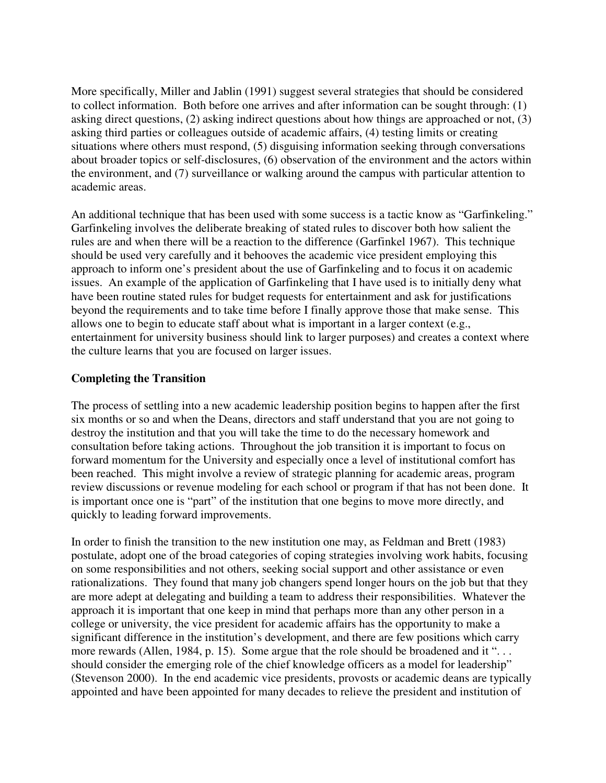More specifically, Miller and Jablin (1991) suggest several strategies that should be considered to collect information. Both before one arrives and after information can be sought through: (1) asking direct questions, (2) asking indirect questions about how things are approached or not, (3) asking third parties or colleagues outside of academic affairs, (4) testing limits or creating situations where others must respond, (5) disguising information seeking through conversations about broader topics or self-disclosures, (6) observation of the environment and the actors within the environment, and (7) surveillance or walking around the campus with particular attention to academic areas.

An additional technique that has been used with some success is a tactic know as "Garfinkeling." Garfinkeling involves the deliberate breaking of stated rules to discover both how salient the rules are and when there will be a reaction to the difference (Garfinkel 1967). This technique should be used very carefully and it behooves the academic vice president employing this approach to inform one's president about the use of Garfinkeling and to focus it on academic issues. An example of the application of Garfinkeling that I have used is to initially deny what have been routine stated rules for budget requests for entertainment and ask for justifications beyond the requirements and to take time before I finally approve those that make sense. This allows one to begin to educate staff about what is important in a larger context (e.g., entertainment for university business should link to larger purposes) and creates a context where the culture learns that you are focused on larger issues.

#### **Completing the Transition**

The process of settling into a new academic leadership position begins to happen after the first six months or so and when the Deans, directors and staff understand that you are not going to destroy the institution and that you will take the time to do the necessary homework and consultation before taking actions. Throughout the job transition it is important to focus on forward momentum for the University and especially once a level of institutional comfort has been reached. This might involve a review of strategic planning for academic areas, program review discussions or revenue modeling for each school or program if that has not been done. It is important once one is "part" of the institution that one begins to move more directly, and quickly to leading forward improvements.

In order to finish the transition to the new institution one may, as Feldman and Brett (1983) postulate, adopt one of the broad categories of coping strategies involving work habits, focusing on some responsibilities and not others, seeking social support and other assistance or even rationalizations. They found that many job changers spend longer hours on the job but that they are more adept at delegating and building a team to address their responsibilities. Whatever the approach it is important that one keep in mind that perhaps more than any other person in a college or university, the vice president for academic affairs has the opportunity to make a significant difference in the institution's development, and there are few positions which carry more rewards (Allen, 1984, p. 15). Some argue that the role should be broadened and it "... should consider the emerging role of the chief knowledge officers as a model for leadership" (Stevenson 2000). In the end academic vice presidents, provosts or academic deans are typically appointed and have been appointed for many decades to relieve the president and institution of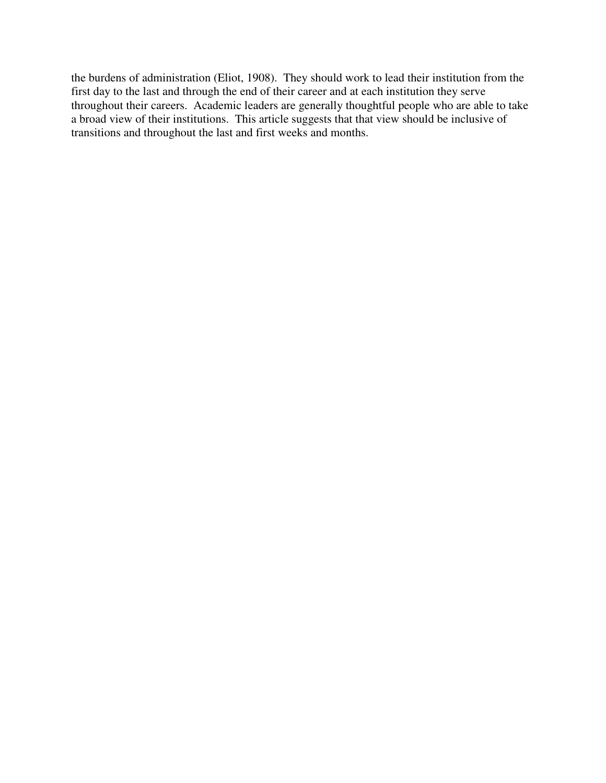the burdens of administration (Eliot, 1908). They should work to lead their institution from the first day to the last and through the end of their career and at each institution they serve throughout their careers. Academic leaders are generally thoughtful people who are able to take a broad view of their institutions. This article suggests that that view should be inclusive of transitions and throughout the last and first weeks and months.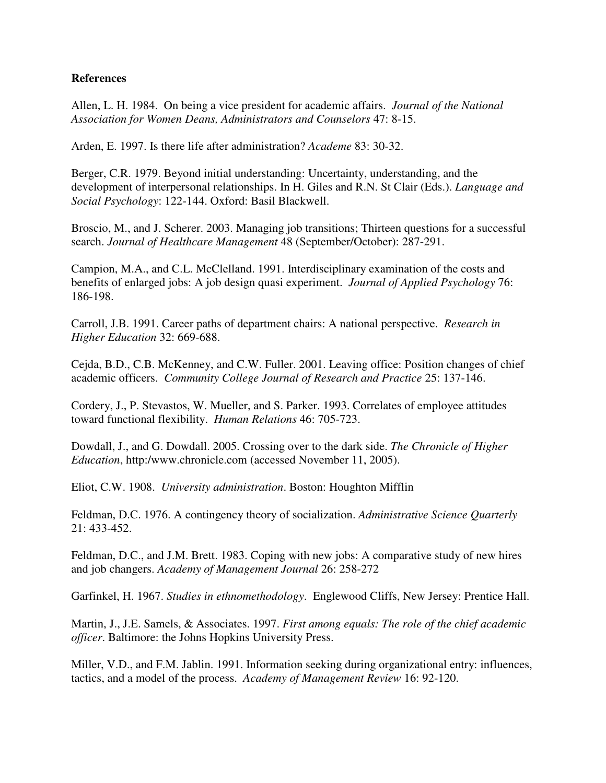#### **References**

Allen, L. H. 1984. On being a vice president for academic affairs. *Journal of the National Association for Women Deans, Administrators and Counselors* 47: 8-15.

Arden, E. 1997. Is there life after administration? *Academe* 83: 30-32.

Berger, C.R. 1979. Beyond initial understanding: Uncertainty, understanding, and the development of interpersonal relationships. In H. Giles and R.N. St Clair (Eds.). *Language and Social Psychology*: 122-144. Oxford: Basil Blackwell.

Broscio, M., and J. Scherer. 2003. Managing job transitions; Thirteen questions for a successful search. *Journal of Healthcare Management* 48 (September/October): 287-291.

Campion, M.A., and C.L. McClelland. 1991. Interdisciplinary examination of the costs and benefits of enlarged jobs: A job design quasi experiment. *Journal of Applied Psychology* 76: 186-198.

Carroll, J.B. 1991. Career paths of department chairs: A national perspective. *Research in Higher Education* 32: 669-688.

Cejda, B.D., C.B. McKenney, and C.W. Fuller. 2001. Leaving office: Position changes of chief academic officers. *Community College Journal of Research and Practice* 25: 137-146.

Cordery, J., P. Stevastos, W. Mueller, and S. Parker. 1993. Correlates of employee attitudes toward functional flexibility. *Human Relations* 46: 705-723.

Dowdall, J., and G. Dowdall. 2005. Crossing over to the dark side. *The Chronicle of Higher Education*, http:/www.chronicle.com (accessed November 11, 2005).

Eliot, C.W. 1908. *University administration*. Boston: Houghton Mifflin

Feldman, D.C. 1976. A contingency theory of socialization. *Administrative Science Quarterly* 21: 433-452.

Feldman, D.C., and J.M. Brett. 1983. Coping with new jobs: A comparative study of new hires and job changers. *Academy of Management Journal* 26: 258-272

Garfinkel, H. 1967. *Studies in ethnomethodology*. Englewood Cliffs, New Jersey: Prentice Hall.

Martin, J., J.E. Samels, & Associates. 1997. *First among equals: The role of the chief academic officer*. Baltimore: the Johns Hopkins University Press.

Miller, V.D., and F.M. Jablin. 1991. Information seeking during organizational entry: influences, tactics, and a model of the process. *Academy of Management Review* 16: 92-120.